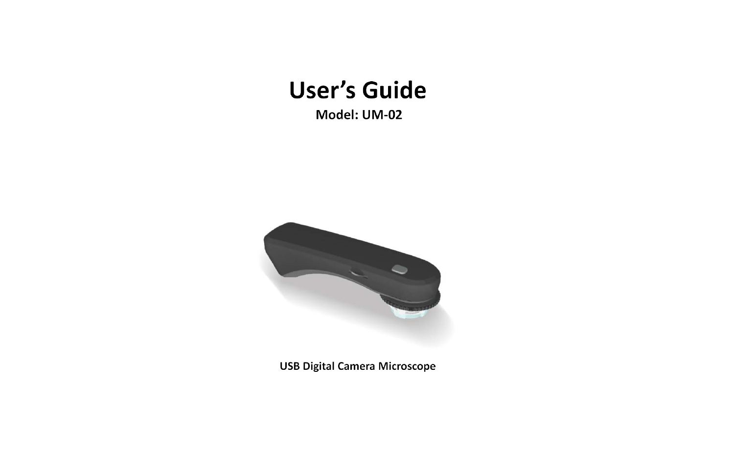# **User's Guide**

Model: UM-02



**USB Digital Camera Microscope**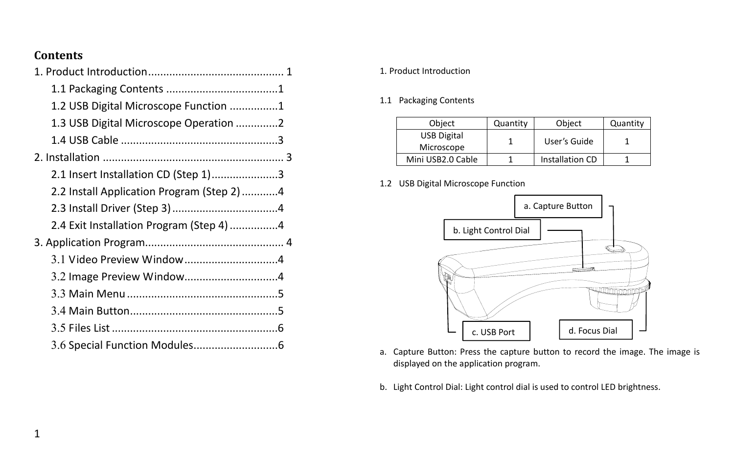## **Contents**

| 1.2 USB Digital Microscope Function 1     |  |
|-------------------------------------------|--|
| 1.3 USB Digital Microscope Operation 2    |  |
|                                           |  |
|                                           |  |
| 2.1 Insert Installation CD (Step 1)3      |  |
| 2.2 Install Application Program (Step 2)4 |  |
|                                           |  |
| 2.4 Exit Installation Program (Step 4) 4  |  |
|                                           |  |
|                                           |  |
|                                           |  |
|                                           |  |
|                                           |  |
|                                           |  |
|                                           |  |

### 1. Product Introduction

1.1 Packaging Contents

| Object                           | Quantity | Object          | Quantity |  |  |
|----------------------------------|----------|-----------------|----------|--|--|
| <b>USB Digital</b><br>Microscope |          | User's Guide    |          |  |  |
| Mini USB2.0 Cable                |          | Installation CD |          |  |  |

1.2 USB Digital Microscope Function



- a. Capture Button: Press the capture button to record the image. The image is displayed on the application program.
- <span id="page-1-0"></span>b. Light Control Dial: Light control dial is used to control LED brightness.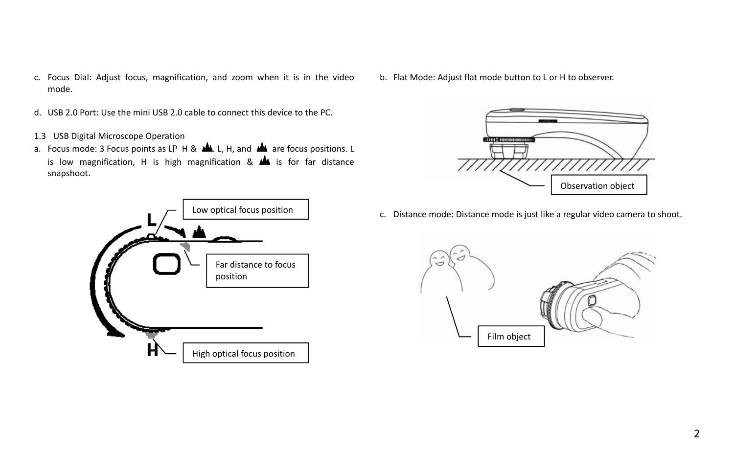- c. Focus Dial: Adjust focus, magnification, and zoom when it is in the video mode.
- d. USB 2.0 Port: Use the mini USB 2.0 cable to connect this device to the PC.
- 1.3 USB Digital Microscope Operation
- a. Focus mode: 3 Focus points as LP H &  $\blacksquare$ . L, H, and  $\blacksquare$  are focus positions. L is low magnification, H is high magnification  $\&$   $\&$  is for far distance snapshoot.

<span id="page-2-0"></span>

b. Flat Mode: Adjust flat mode button to L or H to observer.



c. Distance mode: Distance mode is just like a regular video camera to shoot.

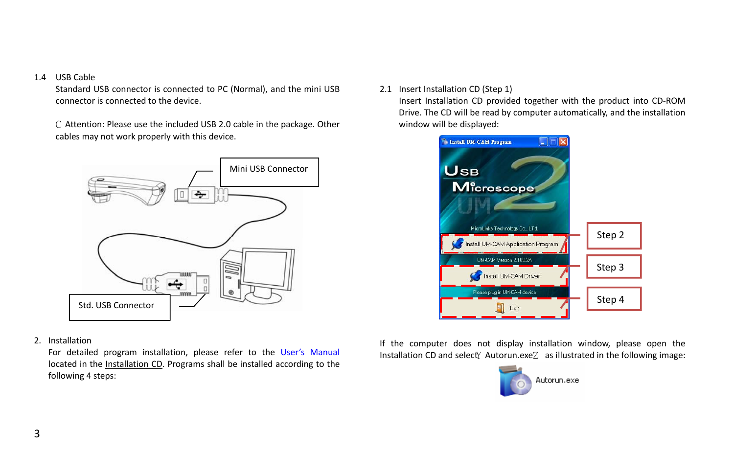#### 1.4 USB Cable

Standard USB connector is connected to PC (Normal), and the mini USB connector is connected to the device.

C Attention: Please use the included USB 2.0 cable in the package. Other cables may not work properly with this device.



2. Installation

<span id="page-3-0"></span>For detailed program installation, please refer to the User's Manual located in the Installation CD. Programs shall be installed according to the following 4 steps:

2.1 Insert Installation CD (Step 1)

Insert Installation CD provided together with the product into CD-ROM Drive. The CD will be read by computer automatically, and the installation window will be displayed:



Installation CD and select<sup>y</sup> Autorun.exe $Z$  as illustrated in the following image: If the computer does not display installation window, please open the

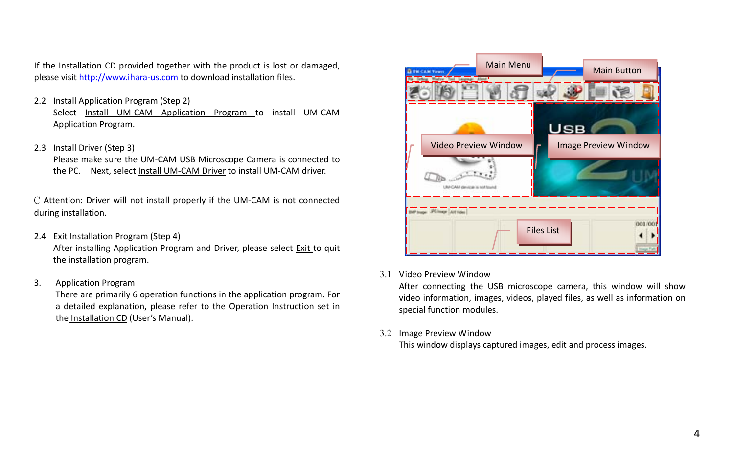If the Installation CD provided together with the product is lost or damaged, please visit http://www.ihara-us.com to download installation files.

- 2.2 Install Application Program (Step 2) Select Install UM-CAM Application Program to install UM-CAM Application Program.
- 2.3 Install Driver (Step 3)

Please make sure the UM-CAM USB Microscope Camera is connected to the PC. Next, select Install UM-CAM Driver to install UM-CAM driver.

C Attention: Driver will not install properly if the UM-CAM is not connected during installation.

2.4 Exit Installation Program (Step 4)

After installing Application Program and Driver, please select Exit to quit the installation program.

3 Application Program 3.

> <span id="page-4-0"></span>There are primarily 6 operation functions in the application program. For a detailed explanation, please refer to the Operation Instruction set in the Installation CD (User's Manual).



3.1 Video Preview Window

After connecting the USB microscope camera, this window will show video information, images, videos, played files, as well as information on special function modules.

3.2 Image Preview Window

This window displays captured images, edit and process images.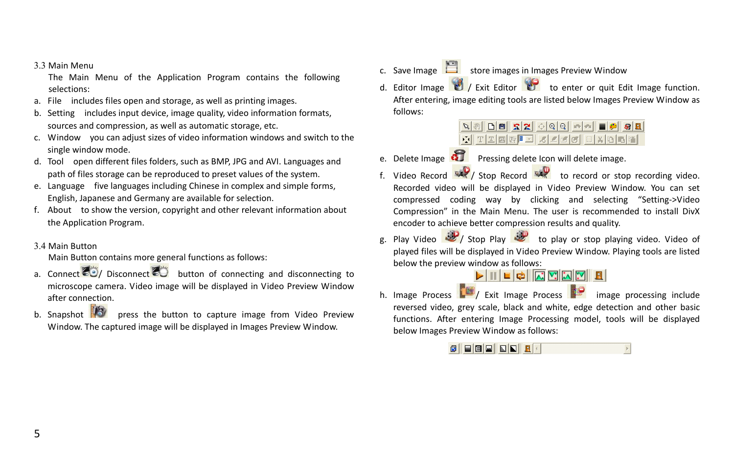#### 3.3 Main Menu

The Main Menu of the Application Program contains the following selections:

- a. File includes files open and storage, as well as printing images.
- b. Setting includes input device, image quality, video information formats, sources and compression, as well as automatic storage, etc.
- c. Window you can adjust sizes of video information windows and switch to the single window mode.
- d. Tool open different files folders, such as BMP, JPG and AVI. Languages and path of files storage can be reproduced to preset values of the system.
- e. Language five languages including Chinese in complex and simple forms, English, Japanese and Germany are available for selection.
- f. About to show the version, copyright and other relevant information about the Application Program.
- 3.4 Main Button

Main Button contains more general functions as follows:

- a. Connect  $\ddot{\bullet}$  / Disconnect  $\ddot{\bullet}$  button of connecting and disconnecting to microscope camera. Video image will be displayed in Video Preview Window after connection.
- <span id="page-5-0"></span>b. Snapshot  $\mathbb{F}$  press the button to capture image from Video Preview Window. The captured image will be displayed in Images Preview Window.
- c. Save Image  $\Box$  store images in Images Preview Window
- d. Editor Image  $\mathcal{O}'$  Exit Editor  $\mathcal{O}'$  to enter or quit Edit Image function. After entering, image editing tools are listed below Images Preview Window as follows:

|  |  |  |  |  |  |  | <u>☆│Ⅱथ∞ ®│□│अ∠⊡⊙∥○∣अ∆⊡™</u> │ |  |
|--|--|--|--|--|--|--|--------------------------------|--|

- e. Delete Image **QU** Pressing delete Icon will delete image.
- f. Video Record  $\mathbb{R}$  / Stop Record  $\mathbb{R}$  to record or stop recording video. Recorded video will be displayed in Video Preview Window. You can set compressed coding way by clicking and selecting "Setting->Video Compression" in the Main Menu. The user is recommended to install DivX encoder to achieve better compression results and quality.
- g. Play Video / Stop Play is to play or stop playing video. Video of played files will be displayed in Video Preview Window. Playing tools are listed below the preview window as follows:<br> $\begin{array}{c} \hline \blacksquare \end{array}$

h. Image Process  $\frac{1}{2}$  Exit Image Process in image processing include reversed video, grey scale, black and white, edge detection and other basic functions. After entering Image Processing model, tools will be displayed below Images Preview Window as follows: